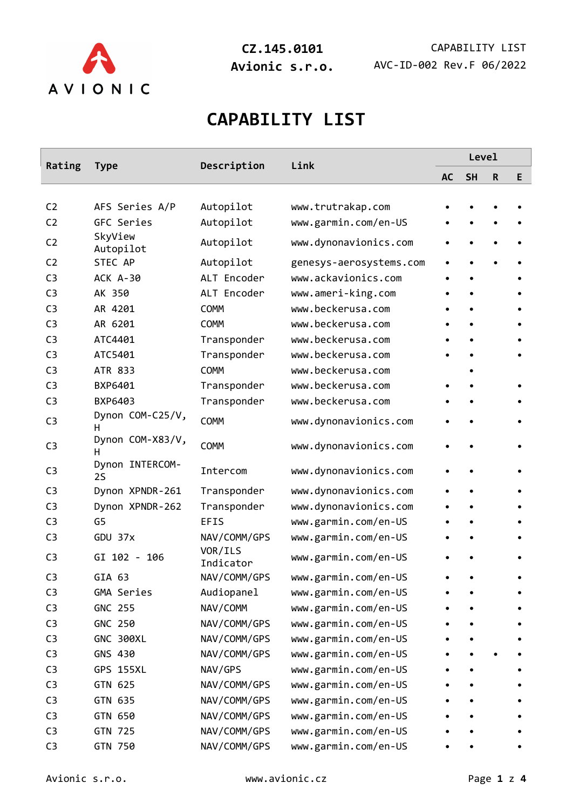

# **CAPABILITY LIST**

| Rating         | <b>Type</b>            | Description          | Link                    | Level     |           |             |   |  |
|----------------|------------------------|----------------------|-------------------------|-----------|-----------|-------------|---|--|
|                |                        |                      |                         | <b>AC</b> | <b>SH</b> | $\mathsf R$ | E |  |
|                |                        |                      |                         |           |           |             |   |  |
| C <sub>2</sub> | AFS Series A/P         | Autopilot            | www.trutrakap.com       |           |           |             |   |  |
| C <sub>2</sub> | GFC Series             | Autopilot            | www.garmin.com/en-US    |           |           |             |   |  |
| C <sub>2</sub> | SkyView<br>Autopilot   | Autopilot            | www.dynonavionics.com   |           |           |             |   |  |
| C <sub>2</sub> | STEC AP                | Autopilot            | genesys-aerosystems.com |           |           |             |   |  |
| C <sub>3</sub> | <b>ACK A-30</b>        | ALT Encoder          | www.ackavionics.com     |           |           |             |   |  |
| C <sub>3</sub> | AK 350                 | ALT Encoder          | www.ameri-king.com      |           |           |             |   |  |
| C <sub>3</sub> | AR 4201                | <b>COMM</b>          | www.beckerusa.com       |           |           |             |   |  |
| C <sub>3</sub> | AR 6201                | <b>COMM</b>          | www.beckerusa.com       |           |           |             |   |  |
| C <sub>3</sub> | ATC4401                | Transponder          | www.beckerusa.com       |           |           |             |   |  |
| C <sub>3</sub> | ATC5401                | Transponder          | www.beckerusa.com       |           |           |             |   |  |
| C <sub>3</sub> | ATR 833                | <b>COMM</b>          | www.beckerusa.com       |           |           |             |   |  |
| C <sub>3</sub> | BXP6401                | Transponder          | www.beckerusa.com       |           |           |             |   |  |
| C <sub>3</sub> | BXP6403                | Transponder          | www.beckerusa.com       |           |           |             |   |  |
| C <sub>3</sub> | Dynon COM-C25/V,<br>н. | <b>COMM</b>          | www.dynonavionics.com   |           |           |             |   |  |
| C <sub>3</sub> | Dynon COM-X83/V,<br>н  | COMM                 | www.dynonavionics.com   |           |           |             |   |  |
| C <sub>3</sub> | Dynon INTERCOM-<br>2S  | Intercom             | www.dynonavionics.com   |           |           |             |   |  |
| C <sub>3</sub> | Dynon XPNDR-261        | Transponder          | www.dynonavionics.com   |           |           |             |   |  |
| C <sub>3</sub> | Dynon XPNDR-262        | Transponder          | www.dynonavionics.com   |           |           |             |   |  |
| C <sub>3</sub> | G5                     | <b>EFIS</b>          | www.garmin.com/en-US    |           |           |             |   |  |
| C <sub>3</sub> | GDU 37x                | NAV/COMM/GPS         | www.garmin.com/en-US    |           |           |             |   |  |
| C <sub>3</sub> | GI 102 - 106           | VOR/ILS<br>Indicator | www.garmin.com/en-US    |           |           |             |   |  |
| C <sub>3</sub> | GIA 63                 | NAV/COMM/GPS         | www.garmin.com/en-US    |           |           |             |   |  |
| C <sub>3</sub> | GMA Series             | Audiopanel           | www.garmin.com/en-US    |           |           |             |   |  |
| C <sub>3</sub> | <b>GNC 255</b>         | NAV/COMM             | www.garmin.com/en-US    |           |           |             |   |  |
| C <sub>3</sub> | GNC 250                | NAV/COMM/GPS         | www.garmin.com/en-US    |           |           |             |   |  |
| C <sub>3</sub> | <b>GNC 300XL</b>       | NAV/COMM/GPS         | www.garmin.com/en-US    |           |           |             |   |  |
| C <sub>3</sub> | GNS 430                | NAV/COMM/GPS         | www.garmin.com/en-US    |           |           |             |   |  |
| C <sub>3</sub> | <b>GPS 155XL</b>       | NAV/GPS              | www.garmin.com/en-US    |           |           |             |   |  |
| C <sub>3</sub> | GTN 625                | NAV/COMM/GPS         | www.garmin.com/en-US    |           |           |             |   |  |
| C <sub>3</sub> | GTN 635                | NAV/COMM/GPS         | www.garmin.com/en-US    |           |           |             |   |  |
| C <sub>3</sub> | GTN 650                | NAV/COMM/GPS         | www.garmin.com/en-US    |           |           |             |   |  |
| C <sub>3</sub> | GTN 725                | NAV/COMM/GPS         | www.garmin.com/en-US    |           |           |             |   |  |
| C <sub>3</sub> | GTN 750                | NAV/COMM/GPS         | www.garmin.com/en-US    |           |           |             |   |  |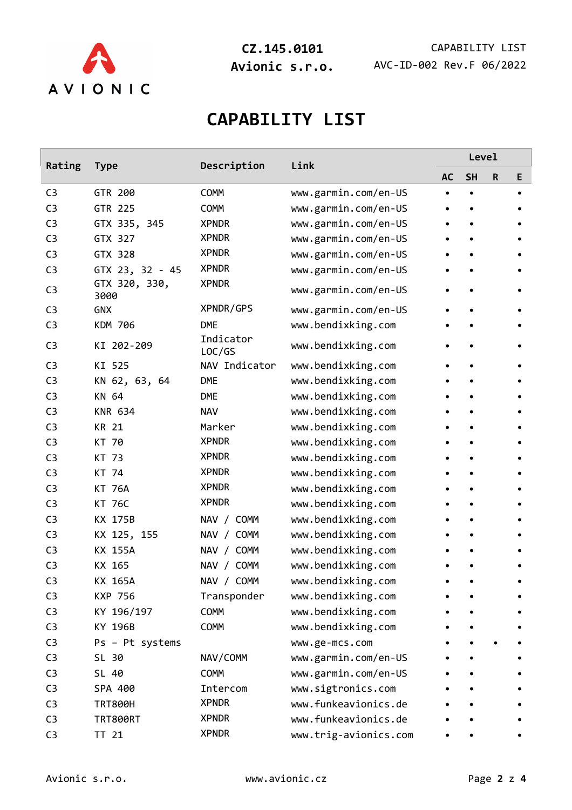

**CZ.145.0101** CAPABILITY LIST **Avionic s.r.o.** AVC-ID-002 Rev.F 06/2022

# **CAPABILITY LIST**

| Rating         | <b>Type</b>           | Description         | Link                  | Level     |           |   |   |  |
|----------------|-----------------------|---------------------|-----------------------|-----------|-----------|---|---|--|
|                |                       |                     |                       | <b>AC</b> | <b>SH</b> | R | Е |  |
| C <sub>3</sub> | GTR 200               | <b>COMM</b>         | www.garmin.com/en-US  |           |           |   |   |  |
| C <sub>3</sub> | GTR 225               | <b>COMM</b>         | www.garmin.com/en-US  |           |           |   |   |  |
| C <sub>3</sub> | GTX 335, 345          | <b>XPNDR</b>        | www.garmin.com/en-US  |           |           |   |   |  |
| C <sub>3</sub> | GTX 327               | <b>XPNDR</b>        | www.garmin.com/en-US  |           |           |   |   |  |
| C <sub>3</sub> | GTX 328               | <b>XPNDR</b>        | www.garmin.com/en-US  |           |           |   |   |  |
| C <sub>3</sub> | GTX 23, 32 - 45       | <b>XPNDR</b>        | www.garmin.com/en-US  |           |           |   |   |  |
| C <sub>3</sub> | GTX 320, 330,<br>3000 | <b>XPNDR</b>        | www.garmin.com/en-US  |           |           |   |   |  |
| C <sub>3</sub> | <b>GNX</b>            | XPNDR/GPS           | www.garmin.com/en-US  |           |           |   |   |  |
| C <sub>3</sub> | <b>KDM 706</b>        | <b>DME</b>          | www.bendixking.com    |           |           |   |   |  |
| C <sub>3</sub> | KI 202-209            | Indicator<br>LOC/GS | www.bendixking.com    |           |           |   |   |  |
| C <sub>3</sub> | KI 525                | NAV Indicator       | www.bendixking.com    |           |           |   |   |  |
| C <sub>3</sub> | KN 62, 63, 64         | <b>DME</b>          | www.bendixking.com    |           |           |   |   |  |
| C <sub>3</sub> | KN 64                 | DME                 | www.bendixking.com    |           |           |   |   |  |
| C <sub>3</sub> | <b>KNR 634</b>        | <b>NAV</b>          | www.bendixking.com    |           |           |   |   |  |
| C <sub>3</sub> | <b>KR 21</b>          | Marker              | www.bendixking.com    |           |           |   |   |  |
| C <sub>3</sub> | KT 70                 | <b>XPNDR</b>        | www.bendixking.com    |           |           |   |   |  |
| C <sub>3</sub> | KT 73                 | <b>XPNDR</b>        | www.bendixking.com    |           |           |   |   |  |
| C <sub>3</sub> | KT 74                 | <b>XPNDR</b>        | www.bendixking.com    |           |           |   |   |  |
| C <sub>3</sub> | <b>KT 76A</b>         | <b>XPNDR</b>        | www.bendixking.com    |           |           |   |   |  |
| C <sub>3</sub> | <b>KT 76C</b>         | <b>XPNDR</b>        | www.bendixking.com    |           |           |   |   |  |
| C <sub>3</sub> | KX 175B               | NAV / COMM          | www.bendixking.com    |           |           |   |   |  |
| C <sub>3</sub> | KX 125, 155           | NAV / COMM          | www.bendixking.com    |           |           |   |   |  |
| C <sub>3</sub> | KX 155A               | NAV / COMM          | www.bendixking.com    |           |           |   |   |  |
| C <sub>3</sub> | KX 165                | NAV / COMM          | www.bendixking.com    |           |           |   |   |  |
| C <sub>3</sub> | KX 165A               | NAV / COMM          | www.bendixking.com    |           |           |   |   |  |
| C <sub>3</sub> | <b>KXP 756</b>        | Transponder         | www.bendixking.com    |           |           |   |   |  |
| C <sub>3</sub> | KY 196/197            | <b>COMM</b>         | www.bendixking.com    |           |           |   |   |  |
| C <sub>3</sub> | KY 196B               | <b>COMM</b>         | www.bendixking.com    |           |           |   |   |  |
| C <sub>3</sub> | Ps - Pt systems       |                     | www.ge-mcs.com        |           |           |   |   |  |
| C <sub>3</sub> | SL 30                 | NAV/COMM            | www.garmin.com/en-US  |           |           |   |   |  |
| C <sub>3</sub> | SL 40                 | <b>COMM</b>         | www.garmin.com/en-US  |           |           |   |   |  |
| C <sub>3</sub> | SPA 400               | Intercom            | www.sigtronics.com    |           |           |   |   |  |
| C <sub>3</sub> | <b>TRT800H</b>        | <b>XPNDR</b>        | www.funkeavionics.de  |           |           |   |   |  |
| C <sub>3</sub> | <b>TRT800RT</b>       | <b>XPNDR</b>        | www.funkeavionics.de  |           |           |   |   |  |
| C <sub>3</sub> | TT 21                 | <b>XPNDR</b>        | www.trig-avionics.com |           |           |   |   |  |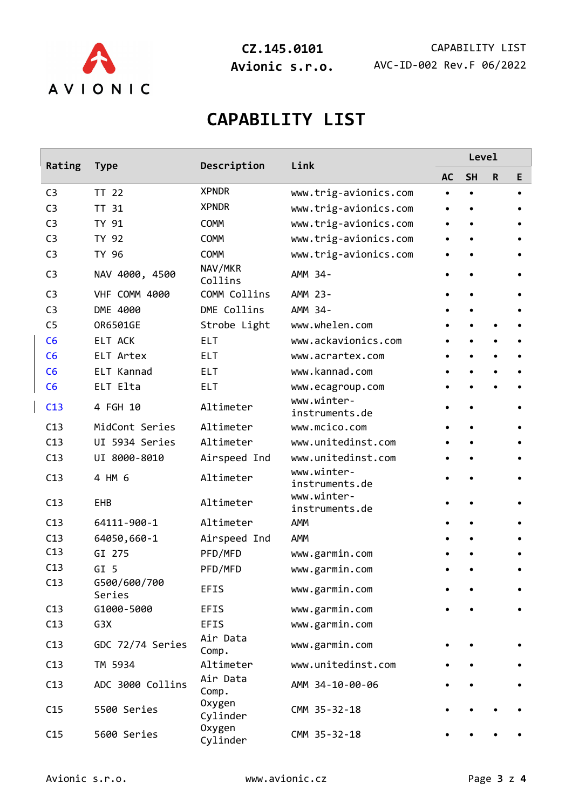

**CZ.145.0101** CAPABILITY LIST **Avionic s.r.o.** AVC-ID-002 Rev.F 06/2022

# **CAPABILITY LIST**

| Rating         | <b>Type</b>            | Description               | Link                          | Level     |           |   |           |  |
|----------------|------------------------|---------------------------|-------------------------------|-----------|-----------|---|-----------|--|
|                |                        |                           |                               | <b>AC</b> | <b>SH</b> | R | E         |  |
| C <sub>3</sub> | TT 22                  | <b>XPNDR</b>              | www.trig-avionics.com         | $\bullet$ |           |   | $\bullet$ |  |
| C <sub>3</sub> | TT 31                  | <b>XPNDR</b>              | www.trig-avionics.com         |           |           |   |           |  |
| C <sub>3</sub> | TY 91                  | <b>COMM</b>               | www.trig-avionics.com         |           |           |   |           |  |
| C <sub>3</sub> | TY 92                  | <b>COMM</b>               | www.trig-avionics.com         |           |           |   |           |  |
| C <sub>3</sub> | TY 96                  | <b>COMM</b>               | www.trig-avionics.com         |           |           |   |           |  |
| C <sub>3</sub> | NAV 4000, 4500         | NAV/MKR<br>Collins        | AMM 34-                       |           |           |   |           |  |
| C <sub>3</sub> | VHF COMM 4000          | COMM Collins              | AMM 23-                       |           |           |   |           |  |
| C <sub>3</sub> | DME 4000               | DME Collins               | AMM 34-                       |           |           |   |           |  |
| C <sub>5</sub> | OR6501GE               | Strobe Light              | www.whelen.com                |           |           |   |           |  |
| C6             | <b>ELT ACK</b>         | ELT.                      | www.ackavionics.com           |           |           |   |           |  |
| C6             | ELT Artex              | <b>ELT</b>                | www.acrartex.com              |           |           |   |           |  |
| C6             | ELT Kannad             | <b>ELT</b>                | www.kannad.com                |           |           |   |           |  |
| C6             | ELT Elta               | <b>ELT</b>                | www.ecagroup.com              |           |           |   |           |  |
| C13            | 4 FGH 10               | Altimeter                 | www.winter-<br>instruments.de |           |           |   |           |  |
| C13            | MidCont Series         | Altimeter                 | www.mcico.com                 |           |           |   |           |  |
| C13            | UI 5934 Series         | Altimeter                 | www.unitedinst.com            |           |           |   |           |  |
| C13            | UI 8000-8010           | Airspeed Ind              | www.unitedinst.com            |           |           |   |           |  |
| C13            | 4 HM 6                 | Altimeter                 | www.winter-<br>instruments.de |           |           |   |           |  |
| C13            | <b>EHB</b>             | Altimeter                 | www.winter-<br>instruments.de |           |           |   |           |  |
| C13            | 64111-900-1            | Altimeter                 | AMM                           |           |           |   |           |  |
| C13            | 64050,660-1            | Airspeed Ind              | AMM                           |           |           |   |           |  |
| C13            | GI 275                 | PFD/MFD                   | www.garmin.com                |           |           |   |           |  |
| C13            | GI 5                   | PFD/MFD                   | www.garmin.com                |           |           |   |           |  |
| C13            | G500/600/700<br>Series | EFIS                      | www.garmin.com                |           |           |   |           |  |
| C13            | G1000-5000             | EFIS                      | www.garmin.com                |           |           |   |           |  |
| C13            | G3X                    | EFIS                      | www.garmin.com                |           |           |   |           |  |
| C13            | GDC 72/74 Series       | Air Data<br>Comp.         | www.garmin.com                |           |           |   |           |  |
| C13            | TM 5934                | Altimeter                 | www.unitedinst.com            |           |           |   |           |  |
| C13            | ADC 3000 Collins       | Air Data<br>Comp.         | AMM 34-10-00-06               |           |           |   |           |  |
| C15            | 5500 Series            | <b>Oxygen</b><br>Cylinder | CMM 35-32-18                  |           |           |   |           |  |
| C15            | 5600 Series            | <b>Oxygen</b><br>Cylinder | CMM 35-32-18                  |           |           |   |           |  |